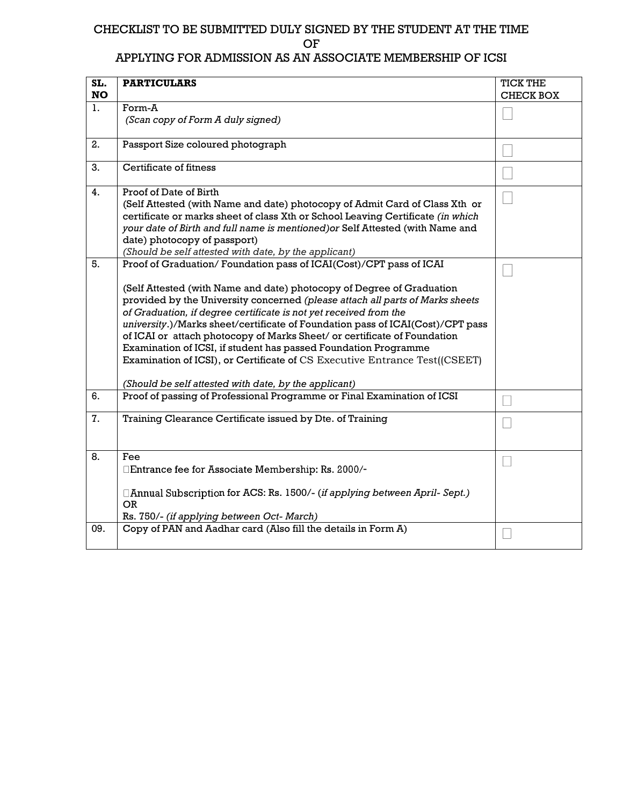### CHECKLIST TO BE SUBMITTED DULY SIGNED BY THE STUDENT AT THE TIME OF

### APPLYING FOR ADMISSION AS AN ASSOCIATE MEMBERSHIP OF ICSI

| SL.<br><b>NO</b> | <b>PARTICULARS</b>                                                                                                                                                                                                                                                                                                                                                                                                                                                                                                                                                                                                                                                        | <b>TICK THE</b><br><b>CHECK BOX</b> |
|------------------|---------------------------------------------------------------------------------------------------------------------------------------------------------------------------------------------------------------------------------------------------------------------------------------------------------------------------------------------------------------------------------------------------------------------------------------------------------------------------------------------------------------------------------------------------------------------------------------------------------------------------------------------------------------------------|-------------------------------------|
| 1.               | Form-A<br>(Scan copy of Form A duly signed)                                                                                                                                                                                                                                                                                                                                                                                                                                                                                                                                                                                                                               |                                     |
| 2.               | Passport Size coloured photograph                                                                                                                                                                                                                                                                                                                                                                                                                                                                                                                                                                                                                                         |                                     |
| 3.               | Certificate of fitness                                                                                                                                                                                                                                                                                                                                                                                                                                                                                                                                                                                                                                                    |                                     |
| 4.               | Proof of Date of Birth<br>(Self Attested (with Name and date) photocopy of Admit Card of Class Xth or<br>certificate or marks sheet of class Xth or School Leaving Certificate (in which<br>your date of Birth and full name is mentioned) or Self Attested (with Name and<br>date) photocopy of passport)<br>(Should be self attested with date, by the applicant)                                                                                                                                                                                                                                                                                                       |                                     |
| 5.               | Proof of Graduation/Foundation pass of ICAI(Cost)/CPT pass of ICAI<br>(Self Attested (with Name and date) photocopy of Degree of Graduation<br>provided by the University concerned (please attach all parts of Marks sheets<br>of Graduation, if degree certificate is not yet received from the<br>university.)/Marks sheet/certificate of Foundation pass of ICAI(Cost)/CPT pass<br>of ICAI or attach photocopy of Marks Sheet/ or certificate of Foundation<br>Examination of ICSI, if student has passed Foundation Programme<br>Examination of ICSI), or Certificate of CS Executive Entrance Test((CSEET)<br>(Should be self attested with date, by the applicant) |                                     |
| 6.               | Proof of passing of Professional Programme or Final Examination of ICSI                                                                                                                                                                                                                                                                                                                                                                                                                                                                                                                                                                                                   |                                     |
| 7.               | Training Clearance Certificate issued by Dte. of Training                                                                                                                                                                                                                                                                                                                                                                                                                                                                                                                                                                                                                 |                                     |
| 8.               | Fee<br>□Entrance fee for Associate Membership: Rs. 2000/-<br>□ Annual Subscription for ACS: Rs. 1500/- (if applying between April- Sept.)<br><b>OR</b><br>Rs. 750/- (if applying between Oct- March)                                                                                                                                                                                                                                                                                                                                                                                                                                                                      |                                     |
| 09.              | Copy of PAN and Aadhar card (Also fill the details in Form A)                                                                                                                                                                                                                                                                                                                                                                                                                                                                                                                                                                                                             |                                     |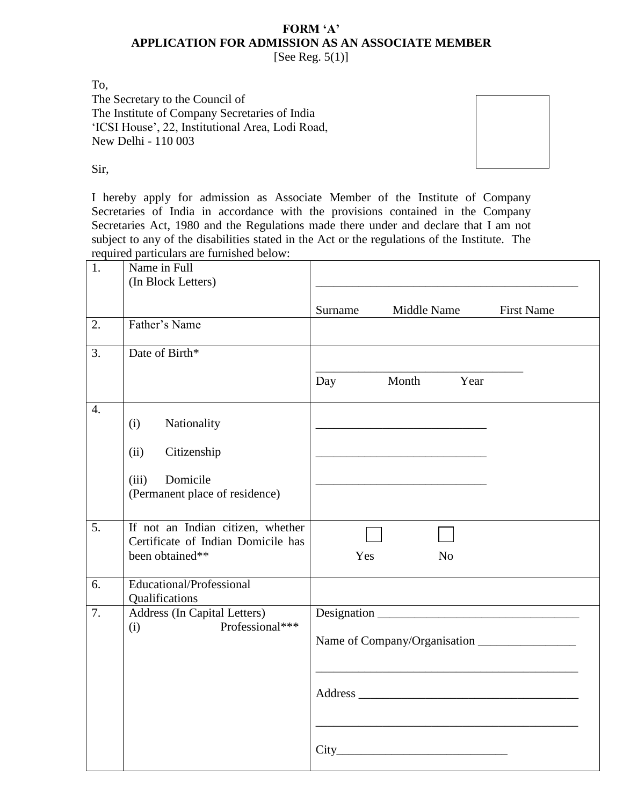## **FORM 'A' APPLICATION FOR ADMISSION AS AN ASSOCIATE MEMBER**

[See Reg.  $5(1)$ ]

To,

The Secretary to the Council of The Institute of Company Secretaries of India 'ICSI House', 22, Institutional Area, Lodi Road, New Delhi - 110 003



Sir,

I hereby apply for admission as Associate Member of the Institute of Company Secretaries of India in accordance with the provisions contained in the Company Secretaries Act, 1980 and the Regulations made there under and declare that I am not subject to any of the disabilities stated in the Act or the regulations of the Institute. The required particulars are furnished below:

| 1.               | Name in Full                                                                               |                                                                                           |
|------------------|--------------------------------------------------------------------------------------------|-------------------------------------------------------------------------------------------|
|                  | (In Block Letters)                                                                         |                                                                                           |
|                  |                                                                                            |                                                                                           |
|                  |                                                                                            | <b>First Name</b><br>Surname<br>Middle Name                                               |
| 2.               | Father's Name                                                                              |                                                                                           |
| 3.               | Date of Birth*                                                                             |                                                                                           |
|                  |                                                                                            | Month Year<br>Day                                                                         |
| $\overline{4}$ . | Nationality<br>(i)                                                                         |                                                                                           |
|                  | (ii)<br>Citizenship                                                                        | the control of the control of the control of the control of the control of the control of |
|                  | Domicile<br>(iii)<br>(Permanent place of residence)                                        |                                                                                           |
| $\overline{5}$ . | If not an Indian citizen, whether<br>Certificate of Indian Domicile has<br>been obtained** | Yes<br>N <sub>o</sub>                                                                     |
| 6.               | Educational/Professional<br>Qualifications                                                 | <u> 1980 - Johann Barbara, martxa alemaniar amerikan a</u>                                |
| $\overline{7}$ . | Address (In Capital Letters)<br>Professional***<br>(i)                                     | Designation                                                                               |
|                  |                                                                                            |                                                                                           |
|                  |                                                                                            |                                                                                           |
|                  |                                                                                            |                                                                                           |
|                  |                                                                                            |                                                                                           |
|                  |                                                                                            |                                                                                           |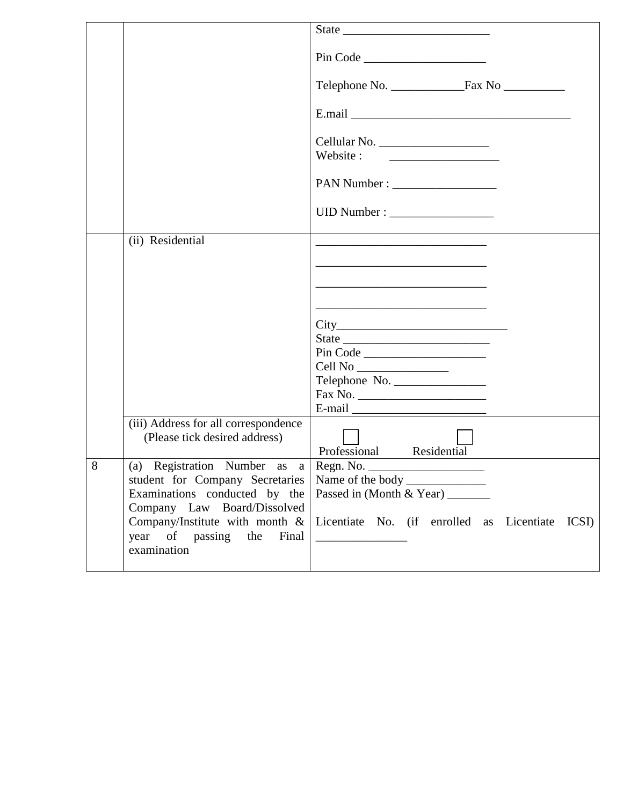|   |                                                              | State                                                                                                                                                                                                                                                                                                                                                                                                        |
|---|--------------------------------------------------------------|--------------------------------------------------------------------------------------------------------------------------------------------------------------------------------------------------------------------------------------------------------------------------------------------------------------------------------------------------------------------------------------------------------------|
|   |                                                              | Pin Code                                                                                                                                                                                                                                                                                                                                                                                                     |
|   |                                                              |                                                                                                                                                                                                                                                                                                                                                                                                              |
|   |                                                              |                                                                                                                                                                                                                                                                                                                                                                                                              |
|   |                                                              | Website:                                                                                                                                                                                                                                                                                                                                                                                                     |
|   |                                                              |                                                                                                                                                                                                                                                                                                                                                                                                              |
|   |                                                              |                                                                                                                                                                                                                                                                                                                                                                                                              |
|   | (ii) Residential                                             |                                                                                                                                                                                                                                                                                                                                                                                                              |
|   |                                                              |                                                                                                                                                                                                                                                                                                                                                                                                              |
|   |                                                              |                                                                                                                                                                                                                                                                                                                                                                                                              |
|   |                                                              |                                                                                                                                                                                                                                                                                                                                                                                                              |
|   |                                                              | State                                                                                                                                                                                                                                                                                                                                                                                                        |
|   |                                                              | Pin Code                                                                                                                                                                                                                                                                                                                                                                                                     |
|   |                                                              |                                                                                                                                                                                                                                                                                                                                                                                                              |
|   |                                                              | Telephone No.                                                                                                                                                                                                                                                                                                                                                                                                |
|   |                                                              |                                                                                                                                                                                                                                                                                                                                                                                                              |
|   | (iii) Address for all correspondence                         | E-mail $\frac{1}{\sqrt{1-\frac{1}{2}}\sqrt{1-\frac{1}{2}}\sqrt{1-\frac{1}{2}}\sqrt{1-\frac{1}{2}}\sqrt{1-\frac{1}{2}}\sqrt{1-\frac{1}{2}}\sqrt{1-\frac{1}{2}}\sqrt{1-\frac{1}{2}}\sqrt{1-\frac{1}{2}}\sqrt{1-\frac{1}{2}}\sqrt{1-\frac{1}{2}}\sqrt{1-\frac{1}{2}}\sqrt{1-\frac{1}{2}}\sqrt{1-\frac{1}{2}}\sqrt{1-\frac{1}{2}}\sqrt{1-\frac{1}{2}}\sqrt{1-\frac{1}{2}}\sqrt{1-\frac{1}{2}}\sqrt{1-\frac{1}{2$ |
|   | (Please tick desired address)                                | Professional Residential                                                                                                                                                                                                                                                                                                                                                                                     |
| 8 |                                                              |                                                                                                                                                                                                                                                                                                                                                                                                              |
|   | student for Company Secretaries                              | Name of the body                                                                                                                                                                                                                                                                                                                                                                                             |
|   | Examinations conducted by the<br>Company Law Board/Dissolved | Passed in (Month & Year)                                                                                                                                                                                                                                                                                                                                                                                     |
|   | Company/Institute with month &                               | Licentiate No. (if enrolled as Licentiate<br>ICSI)                                                                                                                                                                                                                                                                                                                                                           |
|   | year of passing the<br>Final                                 |                                                                                                                                                                                                                                                                                                                                                                                                              |
|   | examination                                                  |                                                                                                                                                                                                                                                                                                                                                                                                              |
|   |                                                              |                                                                                                                                                                                                                                                                                                                                                                                                              |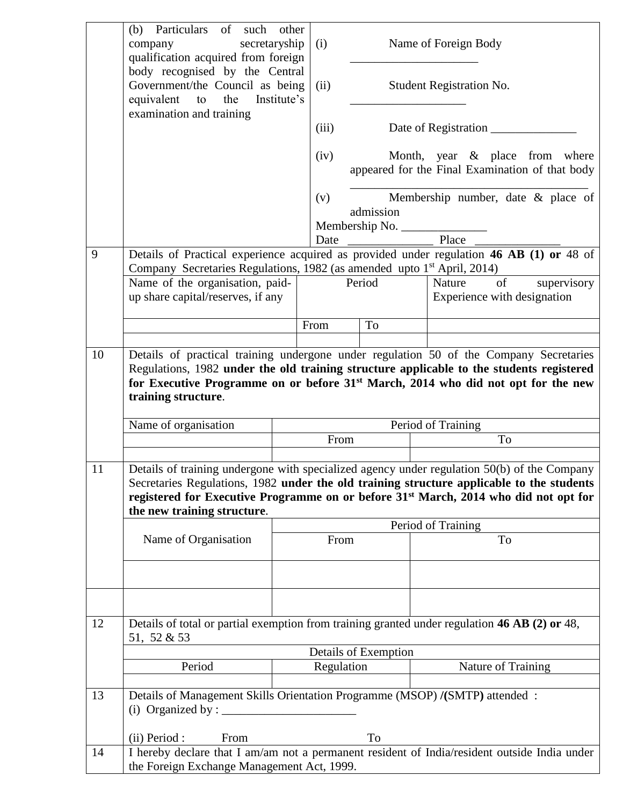|    | Particulars of such other<br>(b)<br>secretaryship<br>company<br>qualification acquired from foreign                                                                                                                                                                                                                         | (i)        |                      | Name of Foreign Body                                                                                                |
|----|-----------------------------------------------------------------------------------------------------------------------------------------------------------------------------------------------------------------------------------------------------------------------------------------------------------------------------|------------|----------------------|---------------------------------------------------------------------------------------------------------------------|
|    | body recognised by the Central<br>Government/the Council as being<br>equivalent<br>the<br>Institute's<br>to                                                                                                                                                                                                                 | (ii)       |                      | Student Registration No.                                                                                            |
|    | examination and training                                                                                                                                                                                                                                                                                                    | (iii)      |                      | Date of Registration __                                                                                             |
|    |                                                                                                                                                                                                                                                                                                                             | (iv)       |                      | Month, year & place from where<br>appeared for the Final Examination of that body                                   |
|    |                                                                                                                                                                                                                                                                                                                             | (v)        | admission            | Membership number, date & place of                                                                                  |
|    |                                                                                                                                                                                                                                                                                                                             |            | Membership No.       |                                                                                                                     |
| 9  |                                                                                                                                                                                                                                                                                                                             | Date       |                      | Place<br>Details of Practical experience acquired as provided under regulation 46 AB (1) or 48 of                   |
|    | Company Secretaries Regulations, 1982 (as amended upto 1 <sup>st</sup> April, 2014)                                                                                                                                                                                                                                         |            |                      |                                                                                                                     |
|    | Name of the organisation, paid-<br>up share capital/reserves, if any                                                                                                                                                                                                                                                        |            | Period               | of<br>supervisory<br>Nature<br>Experience with designation                                                          |
|    |                                                                                                                                                                                                                                                                                                                             | From       | To                   |                                                                                                                     |
| 10 |                                                                                                                                                                                                                                                                                                                             |            |                      | Details of practical training undergone under regulation 50 of the Company Secretaries                              |
|    | training structure.<br>Name of organisation                                                                                                                                                                                                                                                                                 |            |                      | for Executive Programme on or before 31 <sup>st</sup> March, 2014 who did not opt for the new<br>Period of Training |
|    |                                                                                                                                                                                                                                                                                                                             | From       |                      | To                                                                                                                  |
| 11 | Details of training undergone with specialized agency under regulation 50(b) of the Company<br>Secretaries Regulations, 1982 under the old training structure applicable to the students<br>registered for Executive Programme on or before 31 <sup>st</sup> March, 2014 who did not opt for<br>the new training structure. |            |                      |                                                                                                                     |
|    | Period of Training                                                                                                                                                                                                                                                                                                          |            |                      |                                                                                                                     |
|    | Name of Organisation                                                                                                                                                                                                                                                                                                        | From       |                      | To                                                                                                                  |
|    |                                                                                                                                                                                                                                                                                                                             |            |                      |                                                                                                                     |
| 12 | Details of total or partial exemption from training granted under regulation 46 AB (2) or 48,<br>51, 52 & 53                                                                                                                                                                                                                |            |                      |                                                                                                                     |
|    | Period                                                                                                                                                                                                                                                                                                                      | Regulation | Details of Exemption | Nature of Training                                                                                                  |
|    |                                                                                                                                                                                                                                                                                                                             |            |                      |                                                                                                                     |
| 13 | Details of Management Skills Orientation Programme (MSOP) /(SMTP) attended :<br>(i) Organized by : $\_\_$                                                                                                                                                                                                                   |            |                      |                                                                                                                     |
|    | (ii) Period :<br>From                                                                                                                                                                                                                                                                                                       |            | To                   |                                                                                                                     |
| 14 | I hereby declare that I am/am not a permanent resident of India/resident outside India under<br>the Foreign Exchange Management Act, 1999.                                                                                                                                                                                  |            |                      |                                                                                                                     |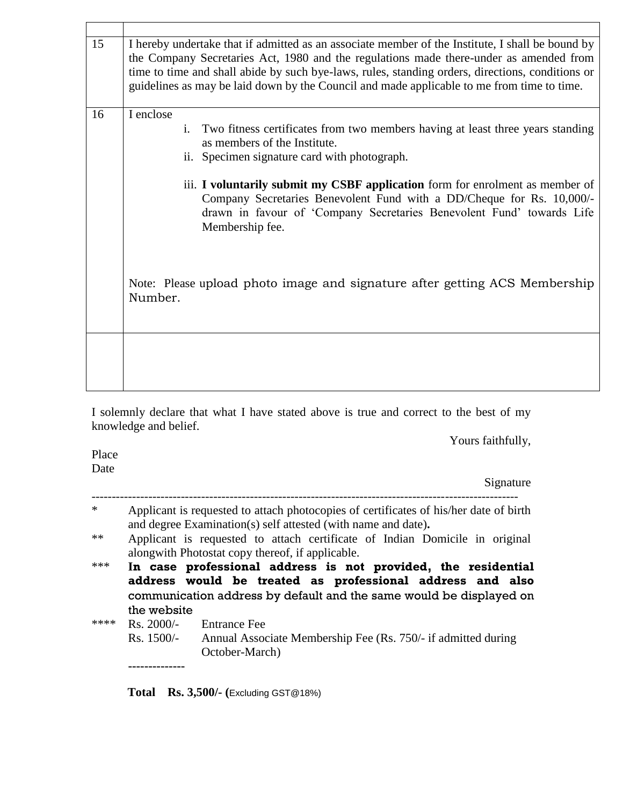| 15 | I hereby undertake that if admitted as an associate member of the Institute, I shall be bound by<br>the Company Secretaries Act, 1980 and the regulations made there-under as amended from<br>time to time and shall abide by such bye-laws, rules, standing orders, directions, conditions or<br>guidelines as may be laid down by the Council and made applicable to me from time to time.                                            |
|----|-----------------------------------------------------------------------------------------------------------------------------------------------------------------------------------------------------------------------------------------------------------------------------------------------------------------------------------------------------------------------------------------------------------------------------------------|
| 16 | I enclose<br>Two fitness certificates from two members having at least three years standing<br>i.<br>as members of the Institute.<br>ii. Specimen signature card with photograph.<br>iii. I voluntarily submit my CSBF application form for enrolment as member of<br>Company Secretaries Benevolent Fund with a DD/Cheque for Rs. 10,000/-<br>drawn in favour of 'Company Secretaries Benevolent Fund' towards Life<br>Membership fee. |
|    | Note: Please upload photo image and signature after getting ACS Membership<br>Number.                                                                                                                                                                                                                                                                                                                                                   |
|    |                                                                                                                                                                                                                                                                                                                                                                                                                                         |

I solemnly declare that what I have stated above is true and correct to the best of my knowledge and belief.

---------------------------------------------------------------------------------------------------------

Yours faithfully,

Place Date

Signature

| $\ast$ | Applicant is requested to attach photocopies of certificates of his/her date of birth<br>and degree Examination(s) self attested (with name and date).                                                           |
|--------|------------------------------------------------------------------------------------------------------------------------------------------------------------------------------------------------------------------|
| $**$   | Applicant is requested to attach certificate of Indian Domicile in original<br>along with Photostat copy thereof, if applicable.                                                                                 |
| ***    | In case professional address is not provided, the residential<br>address would be treated as professional address and also<br>communication address by default and the same would be displayed on<br>the website |
| ****   | $\text{Rs. } 2000/-$<br><b>Entrance Fee</b><br>Rs. 1500/-<br>Annual Associate Membership Fee (Rs. 750/- if admitted during<br>October-March)                                                                     |
|        |                                                                                                                                                                                                                  |

**Total Rs. 3,500/- (**Excluding GST@18%)